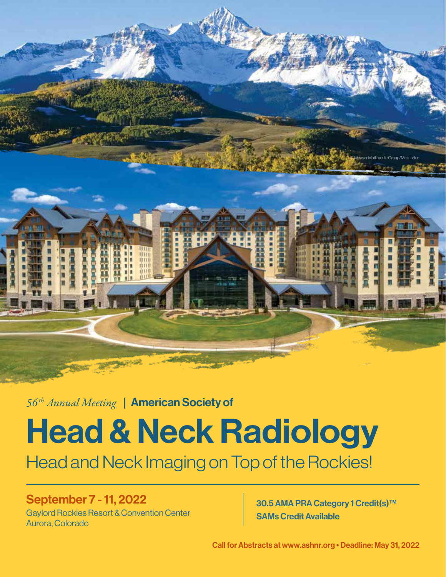© Weaver Mutlimedia Group/Matt Inden

*56th Annual Meeting* |American Society of

## Head & Neck Radiology

Head and Neck Imaging on Top of the Rockies!

## September 7 - 11, 2022

Gaylord Rockies Resort & Convention Center Aurora, Colorado

30.5 AMA PRA Category 1 Credit(s)<sup>™</sup> SAMs Credit Available

Call for Abstracts at www.ashnr.org • Deadline: May 31, 2022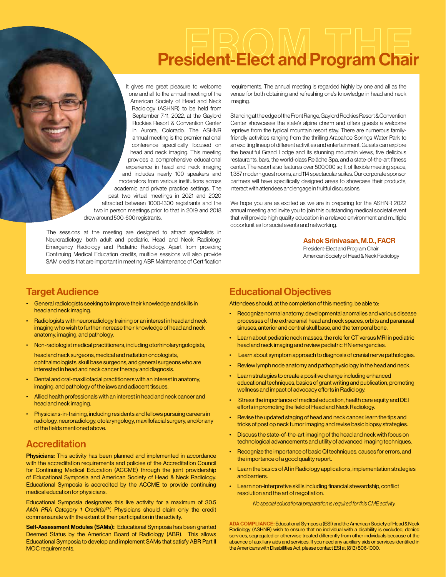# President-Elect and Program Chair

It gives me great pleasure to welcome one and all to the annual meeting of the American Society of Head and Neck Radiology (ASHNR) to be held from September 7-11, 2022, at the Gaylord Rockies Resort & Convention Center in Aurora, Colorado. The ASHNR annual meeting is the premier national conference specifically focused on head and neck imaging. This meeting provides a comprehensive educational experience in head and neck imaging and includes nearly 100 speakers and moderators from various institutions across academic and private practice settings. The past two virtual meetings in 2021 and 2020 attracted between 1000-1300 registrants and the two in person meetings prior to that in 2019 and 2018 drew around 500-600 registrants.

The sessions at the meeting are designed to attract specialists in Neuroradiology, both adult and pediatric, Head and Neck Radiology, Emergency Radiology and Pediatric Radiology. Apart from providing Continuing Medical Education credits, multiple sessions will also provide SAM credits that are important in meeting ABR Maintenance of Certification

requirements. The annual meeting is regarded highly by one and all as the venue for both obtaining and refreshing one's knowledge in head and neck imaging.

Standing at the edge of the Front Range, Gaylord Rockies Resort & Convention Center showcases the state's alpine charm and offers guests a welcome reprieve from the typical mountain resort stay. There are numerous familyfriendly activities ranging from the thrilling Arapahoe Springs Water Park to an exciting lineup of different activities and entertainment. Guests can explore the beautiful Grand Lodge and its stunning mountain views, five delicious restaurants, bars, the world-class Relâche Spa, and a state-of-the-art fitness center. The resort also features over 500,000 sq ft of flexible meeting space, 1,387 modern guest rooms, and 114 spectacular suites. Our corporate sponsor partners will have specifically designed areas to showcase their products, interact with attendees and engage in fruitful discussions.

We hope you are as excited as we are in preparing for the ASHNR 2022 annual meeting and invite you to join this outstanding medical societal event that will provide high quality education in a relaxed environment and multiple opportunities for social events and networking.

#### Ashok Srinivasan, M.D., FACR

President-Elect and Program Chair American Society of Head & Neck Radiology

## Target Audience

- General radiologists seeking to improve their knowledge and skills in head and neck imaging.
- Radiologists with neuroradiology training or an interest in head and neck imaging who wish to further increase their knowledge of head and neck anatomy, imaging, and pathology.
- Non-radiologist medical practitioners, including otorhinolaryngologists,

head and neck surgeons, medical and radiation oncologists, ophthalmologists, skull base surgeons, and general surgeons who are interested in head and neck cancer therapy and diagnosis.

- Dental and oral-maxillofacial practitioners with an interest in anatomy, imaging, and pathology of the jaws and adjacent tissues.
- Allied health professionals with an interest in head and neck cancer and head and neck imaging.
- Physicians-in-training, including residents and fellows pursuing careers in radiology, neuroradiology, otolaryngology, maxillofacial surgery, and/or any of the fields mentioned above.

## **Accreditation**

**Physicians:** This activity has been planned and implemented in accordance with the accreditation requirements and policies of the Accreditation Council for Continuing Medical Education (ACCME) through the joint providership of Educational Symposia and American Society of Head & Neck Radiology. Educational Symposia is accredited by the ACCME to provide continuing medical education for physicians.

Educational Symposia designates this live activity for a maximum of 30.5 *AMA PRA Category 1 Credit(s)TM.* Physicians should claim only the credit commensurate with the extent of their participation in the activity.

Self-Assessment Modules (SAMs): Educational Symposia has been granted Deemed Status by the American Board of Radiology (ABR). This allows Educational Symposia to develop and implement SAMs that satisfy ABR Part II MOC requirements.

## Educational Objectives

Attendees should, at the completion of this meeting, be able to:

- Recognize normal anatomy, developmental anomalies and various disease processes of the extracranial head and neck spaces, orbits and paranasal sinuses, anterior and central skull base, and the temporal bone.
- Learn about pediatric neck masses, the role for CT versus MRI in pediatric head and neck imaging and review pediatric HN emergencies.
- Learn about symptom approach to diagnosis of cranial nerve pathologies.
- Review lymph node anatomy and pathophysiology in the head and neck.
- Learn strategies to create a positive change including enhanced educational techniques, basics of grant writing and publication, promoting wellness and impact of advocacy efforts in Radiology.
- Stress the importance of medical education, health care equity and DEI efforts in promoting the field of Head and Neck Radiology.
- Revise the updated staging of head and neck cancer, learn the tips and tricks of post op neck tumor imaging and revise basic biopsy strategies.
- Discuss the state-of-the-art imaging of the head and neck with focus on technological advancements and utility of advanced imaging techniques.
- Recognize the importance of basic QI techniques, causes for errors, and the importance of a good quality report.
- Learn the basics of AI in Radiology applications, implementation strategies and barriers.
- Learn non-interpretive skills including financial stewardship, conflict resolution and the art of negotiation.

*No special educational preparation is required for this CME activity.*

ADA COMPLIANCE: Educational Symposia (ESI) and the American Society of Head & Neck Radiology (ASHNR) wish to ensure that no individual with a disability is excluded, denied services, segregated or otherwise treated differently from other individuals because of the absence of auxiliary aids and services. If you need any auxiliary aids or services identified in the Americans with Disabilities Act, please contact ESI at (813) 806-1000.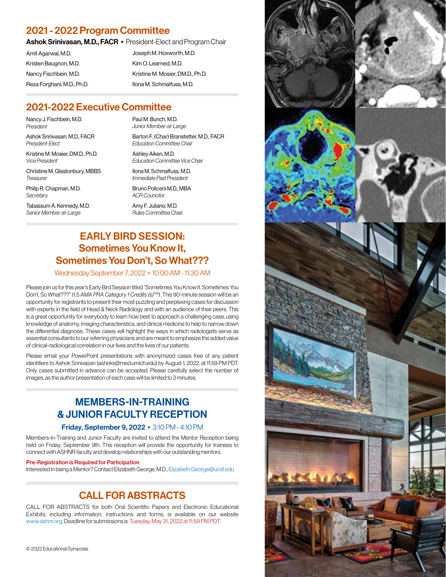## 2021 - 2022 Program Committee

Ashok Srinivasan, M.D., FACR • President-Elect and Program Chair

Amit Agarwal, M.D. Kristen Baugnon, M.D. Nancy Fischbein, M.D. Reza Forghani, M.D., Ph.D. Joseph M. Hoxworth, M.D. Kim O. Learned, M.D. Kristine M. Mosier, DM.D., Ph.D. Ilona M. Schmalfuss, M.D.

## 2021-2022 Executive Committee

Nancy J. Fischbein, M.D. *President*

Ashok Srinivasan, M.D., FACR *President-Elect*

Kristine M. Mosier, DM.D., Ph.D. *Vice President*

Christine M. Glastonbury, MBBS *Treasurer*

Philip R. Chapman, M.D. *Secretary*

Tabassum A. Kennedy, M.D. *Senior Member-at-Large*

Paul M. Bunch, M.D. *Junior Member-at-Large*

Barton F. (Char) Branstetter, M.D., FACR *Education Committee Chair*

Ashley Aiken, M.D. *Education Committee Vice Chair*

Ilona M. Schmalfuss, M.D. *Immediate Past President* Bruno Policeni M.D., MBA

*ACR Councilor*

Amy F. Juliano, M.D. *Rules Committee Chair*

## EARLY BIRD SESSION: Sometimes You Know It, Sometimes You Don't, So What???

#### Wednesday September 7, 2022 • 10:00 AM - 11:30 AM

Please join us for this year's Early Bird Session titled "Sometimes You Know It, Sometimes You Don't, So What???" (1.5 *AMA PRA Category 1 Credits (s)*TM). This 90-minute session will be an opportunity for registrants to present their most puzzling and perplexing cases for discussion with experts in the field of Head & Neck Radiology and with an audience of their peers. This is a great opportunity for everybody to learn how best to approach a challenging case, using knowledge of anatomy, imaging characteristics, and clinical medicine to help to narrow down the differential diagnosis. These cases will highlight the ways in which radiologists serve as essential consultants to our referring physicians and are meant to emphasize the added value of clinical-radiological correlation in our lives and the lives of our patients.

Please email your PowerPoint presentations with anonymized cases free of any patient identifiers to Ashok Srinivasan (ashoks@med.umich.edu) by August 1, 2022, at 11:59 PM PDT. Only cases submitted in advance can be accepted. Please carefully select the number of images, as the author presentation of each case will be limited to 3 minutes.

## MEMBERS-IN-TRAINING & JUNIOR FACULTY RECEPTION

#### Friday, September 9, 2022 • 3:10 PM - 4:10 PM

Members-in-Training and Junior Faculty are invited to attend the Mentor Reception being held on Friday, September 9th. This reception will provide the opportunity for trainees to connect with ASHNR faculty and develop relationships with our outstanding mentors.

#### Pre-Registration is Required for Participation

Interested in being a Mentor? Contact Elizabeth George, M.D., Elizabeth.George@ucsf.edu

## CALL FOR ABSTRACTS

CALL FOR ABSTRACTS for both Oral Scientific Papers and Electronic Educational Exhibits, including information, instructions and forms, is available on our website www.ashnr.org. Deadline for submissions is Tuesday, May 31, 2022 at 11:59 PM PDT.

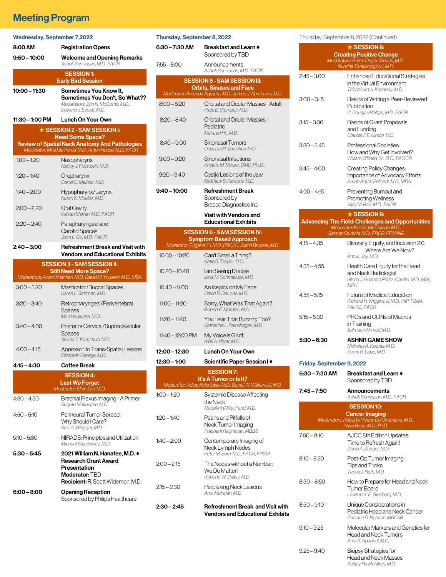## **Meeting Program**

| <b>Wednesday, September 7,2022</b>                      |                                                                                                                                       |  |  |  |
|---------------------------------------------------------|---------------------------------------------------------------------------------------------------------------------------------------|--|--|--|
| 8:00 AM                                                 | <b>Registration Opens</b>                                                                                                             |  |  |  |
| $9:50 - 10:00$                                          | <b>Welcome and Opening Remarks</b><br>Ashok Sriniyasan, M.D., FACR                                                                    |  |  |  |
| <b>SESSION 1:</b><br><b>Early Bird Session</b>          |                                                                                                                                       |  |  |  |
| 10:00 - 11:30                                           | Sometimes You Know It,<br>Sometimes You Don't, So What??<br>Moderators: Erin N. McComb, M.D.,<br>Edward J. Escott, M.D.               |  |  |  |
| 11:30 - 1:00 PM                                         | <b>Lunch On Your Own</b>                                                                                                              |  |  |  |
| ★ SESSION 2 - SAM SESSION I:<br><b>Need Some Space?</b> |                                                                                                                                       |  |  |  |
|                                                         | <b>Review of Spatial Neck Anatomy And Pathologies</b><br>Moderator: Mrudula Penta, M.D., Anton Hasso, M.D., FACR                      |  |  |  |
| $1:00 - 1:20$                                           | Nasopharynx<br>Nancy J. Fischbein, M.D.                                                                                               |  |  |  |
| $1:20 - 1:40$                                           | Oropharynx<br>Daniel E. Meltzer, M.D.                                                                                                 |  |  |  |
| $1:40 - 2:00$                                           | Hypopharynx/Larynx<br>Karen K. Moeller, M.D.                                                                                          |  |  |  |
| $2:00 - 2:20$                                           | Oral Cavity<br>Keivan Shifteh, M.D., FACR                                                                                             |  |  |  |
| $2:20 - 2:40$                                           | Parapharyngeal and<br><b>Carotid Spaces</b><br>John L. Go, M.D., FACR                                                                 |  |  |  |
| 2:40 – 3:00                                             | Refreshment Break and Visit with<br>Vendors and Educational Exhibits                                                                  |  |  |  |
|                                                         | <b>SESSION 3 - SAM SESSION II:</b>                                                                                                    |  |  |  |
|                                                         | <b>Still Need More Space?</b><br>Moderators: Anant Krishnan, M.D., David M. Yousem, M.D., MBA                                         |  |  |  |
| $3:00 - 3:20$                                           | Masticator/Buccal Spaces<br>Karen L. Salzman, M.D.                                                                                    |  |  |  |
| $3:20 - 3:40$                                           | Retropharyngeal/Perivertebral<br>Spaces<br>Mari Hagiwara, M.D.                                                                        |  |  |  |
| $3:40 - 4:00$                                           | Posterior Cervical/Supraclavicular<br>Spaces<br>Sirisha T. Komakula, M.D.                                                             |  |  |  |
| $4:00 - 4:15$                                           | Approach to Trans-Spatial Lesions<br>Elizabeth George, M.D.                                                                           |  |  |  |
| 4:15 - 4:30                                             | Coffee Break                                                                                                                          |  |  |  |
|                                                         | <b>SESSION 4:</b><br><b>Lest We Forget</b><br>Moderator: Elcin Zan, M.D.                                                              |  |  |  |
| 4:30 - 4:50                                             | Brachial Plexus Imaging - A Primer<br>Sugoto Mukherjee, M.D.                                                                          |  |  |  |
| $4:50 - 5:10$                                           | Perineural Tumor Spread:<br>Why Should I Care?<br>Blair A. Winegar, M.D.                                                              |  |  |  |
| $5:10 - 5:30$                                           | NIRADS: Principles and Utilization<br>Michael Bazylewicz, M.D.                                                                        |  |  |  |
| 5:30 – 5:45                                             | 2021 William N. Hanafee, M.D. ♦<br>Research Grant Award<br>Presentation<br>Moderator: TBD<br><b>Recipient:</b> R. Scott Widemon, M.D. |  |  |  |
| 6:00 – 8:00                                             | <b>Opening Reception</b><br>Sponsored by Philips Healthcare                                                                           |  |  |  |

| Thursday, September 8, 2022         |                                                                                                   |  |  |  |
|-------------------------------------|---------------------------------------------------------------------------------------------------|--|--|--|
| 6:30 – 7:30 AM                      | Breakfast and Learn ♦<br>Sponsored by TBD                                                         |  |  |  |
| 7:55 – 8:00                         | Announcements<br>Ashok Srinivasan, M.D., FACR                                                     |  |  |  |
| <b>SESSION 5 - SAM SESSION III:</b> |                                                                                                   |  |  |  |
|                                     | <b>Orbits, Sinuses and Face</b><br>Moderator: Amanda Aguilera, M.D., James J. Abrahams, M.D.      |  |  |  |
| $8:00 - 8:20$                       | Orbital and Ocular Masses - Adult<br>Hilda E. Stambuk. M.D.                                       |  |  |  |
| $8:20 - 8:40$                       | Orbital and Ocular Masses -<br>Pediatric<br>Mai-Lan Ho, M.D.                                      |  |  |  |
| $8:40 - 9:00$                       | Sinonasal Tumors<br>Deborah R. Shatzkes, M.D.                                                     |  |  |  |
| $9:00 - 9:20$                       | Sinonasal Infections<br>Kristine M. Mosier, DMD, Ph,D,.                                           |  |  |  |
| $9:20 - 9:40$                       | Cystic Lesions of the Jaw<br>Matthew S. Parsons, M.D.                                             |  |  |  |
| 9:40 – 10:00                        | <b>Refreshment Break</b><br>Sponsored by<br>Bracco Diagnostics Inc.                               |  |  |  |
|                                     | <b>Visit with Vendors and</b><br><b>Educational Exhibits</b>                                      |  |  |  |
|                                     | <b>SESSION 6 - SAM SESSION IV:</b>                                                                |  |  |  |
|                                     | <b>Symptom Based Approach</b><br>Moderator: Eugene Yu, M.D., FRCPC, Justin Brucker, M.D.          |  |  |  |
| $10:00 - 10:20$                     | Can't Smell a Thing?<br>Katie S. Traylor, D.O.                                                    |  |  |  |
| $10:20 - 10:40$                     | I am Seeing Double<br>Ilona M. Schmalfuss, M.D.                                                   |  |  |  |
| $10:40 - 11:00$                     | An Icepick on My Face<br>David R. DeLone, M.D.                                                    |  |  |  |
| $11:00 - 11:20$                     | Sorry, What Was That Again?<br>Robert E. Morales, M.D.                                            |  |  |  |
| $11:20 - 11:40$                     | You Hear That Buzzing Too?<br>Katherine L. Reinshagen, M.D.                                       |  |  |  |
| $11:40 - 12:00 \text{ PM}$          | My Voice is Gruff<br>Alok A. Bhatt, M.D.                                                          |  |  |  |
| 12:00 - 12:30                       | <b>Lunch On Your Own</b>                                                                          |  |  |  |
| 12:30 – 1:00                        | Scientific Paper Session I ♦                                                                      |  |  |  |
|                                     | <b>SESSION 7:</b>                                                                                 |  |  |  |
|                                     | <b>It's A Tumor or Is It?</b><br>Moderator: Adina Achiriloiae, M.D., Daniel W. Williams III, M.D. |  |  |  |
| 1:00 – 1:20                         | Systemic Disease Affecting<br>the Neck<br>Nikdokht (Niky) Farid, M.D.                             |  |  |  |
| 1:20 – 1:40                         | Pearls and Pitfalls of<br>Neck Tumor Imaging<br>Prashant Raghavan, MBBS                           |  |  |  |
| 1:40 – 2:00                         | Contemporary Imaging of<br>Neck Lymph Nodes<br>Peter M. Som, M.D., FACR, FRSM                     |  |  |  |
| 2:00 – 2:15                         | The Nodes without a Number:<br>We Do Matter!<br>Roberta W. Dalley, M.D.                           |  |  |  |
| 2:15 – 2:30                         | Perplexing Neck Lesions<br>Amit Mahajan, M.D.                                                     |  |  |  |
| 2:30 – 2:45                         | <b>Refreshment Break and Visit with</b><br><b>Vendors and Educational Exhibits</b>                |  |  |  |
|                                     |                                                                                                   |  |  |  |

Thursday, September 8, 2022 (Continued)

|                                                                                                                                      | $\alpha$ individually, oppticating to $\alpha$ , even to the interval                                                |  |  |  |
|--------------------------------------------------------------------------------------------------------------------------------------|----------------------------------------------------------------------------------------------------------------------|--|--|--|
| $\star$ SESSION 8:<br><b>Creating Positive Change</b><br>Moderators: Burce Ozgen Mocan, M.D.,<br>Bundhit Tantiwongkosi, M.D.         |                                                                                                                      |  |  |  |
| $2:45 - 3:00$                                                                                                                        | <b>Enhanced Educational Strategies</b><br>in the Virtual Environment<br>Tabbasum A. Kennedy, M.D.                    |  |  |  |
| 3:00 – 3:15                                                                                                                          | Basics of Writing a Peer-Reviewed<br>Publication<br>C. Douglas Phillips, M.D., FACR                                  |  |  |  |
| 3:15 – 3:30                                                                                                                          | Basics of Grant Proposals<br>and Funding<br>Claudia F.E. Kirsch. M.D.                                                |  |  |  |
| $3:30 - 3:45$                                                                                                                        | Professional Societies:<br>How and Why Get Involved?<br>William O'Brien, Sr., D.O., FAOCR                            |  |  |  |
| 3:45 – 4:00                                                                                                                          | Creating Policy Changes:<br>Importance of Advocacy Efforts<br>Bruno Adum Policeni, M.D., MBA                         |  |  |  |
| 4:00 – 4:15                                                                                                                          | Preventing Burnout and<br><b>Promoting Wellness</b><br>Vijay M. Rao, M.D., FACR                                      |  |  |  |
|                                                                                                                                      | $\star$ SESSION 9:                                                                                                   |  |  |  |
| <b>Advancing The Field: Challenges and Opportunities</b><br>Moderator: Kassie McCullagh, M.D.,<br>Salman Qureshi, M.D., FRCR, FESHNR |                                                                                                                      |  |  |  |
| $4:15 - 4:35$                                                                                                                        | Diversity, Equity, and Inclusion 2.0,<br>Where Are We Now?<br>Ann K. Jay, M.D.                                       |  |  |  |
| $4:35 - 4:55$                                                                                                                        | Health Care Equity for the Head<br>and Neck Radiologist<br>Gloria J. Guzman Perez-Carrillo, M.D., MSc,<br><b>MPH</b> |  |  |  |
| $4:55 - 5:15$                                                                                                                        | <b>Future of Medical Education</b><br>Richard H. Wiggins, III, M.D., FIIP, FSIIM,<br><b>FAHSE, FACR</b>              |  |  |  |
| $5:15 - 5:30$                                                                                                                        | PROs and CONs of Macros<br>in Training<br>Salmaan Ahmed, M.D.                                                        |  |  |  |
| 5:30 - 6:30                                                                                                                          | <b>ASHNR GAME SHOW</b><br>Nicholas A. Koontz, M.D.,<br>Remy R. Lobo, M.D.                                            |  |  |  |
| Friday, September 9, 2022                                                                                                            |                                                                                                                      |  |  |  |
| 6:30 – 7:30 AM                                                                                                                       | Breakfast and Learn ♦<br>Sponsored by TBD                                                                            |  |  |  |
| 7:45 - 7:50                                                                                                                          | Announcements<br>Ashok Srinivasan, M.D., FACR                                                                        |  |  |  |
|                                                                                                                                      | <b>SESSION 10:</b>                                                                                                   |  |  |  |
| <b>Cancer Imaging</b><br>Moderators: Roberto Rivera-De Choudens, M.D.,<br>Akira Baba, M.D., Ph.D.                                    |                                                                                                                      |  |  |  |
| $7:50 - 8:10$                                                                                                                        | AJCC 8th Edition Updates:<br>Time to Refresh Again!<br>David A. Zander, M.D.                                         |  |  |  |
| 8:10 - 8:30                                                                                                                          | Post-Op Tumor Imaging:<br><b>Tips and Tricks</b><br>Tanya J. Rath, M.D.                                              |  |  |  |
| $8:30 - 8:50$                                                                                                                        | How to Prepare for Head and Neck<br>Tumor Board<br>Lawrence E. Ginsberg, M.D.                                        |  |  |  |
| 8:50 – 9:10                                                                                                                          | Unique Considerations in<br>Pediatric Head and Neck Cancer<br>Caroline D. Robson, MBChB                              |  |  |  |
| $9:10 - 9:25$                                                                                                                        | Molecular Markers and Genetics for<br>Head and Neck Tumors<br>Amit K. Agarwal, M.D.                                  |  |  |  |
| 9:25 – 9:40                                                                                                                          | Biopsy Strategies for<br>Head and Neck Masses<br>Ashley Hawk Aiken, M.D.                                             |  |  |  |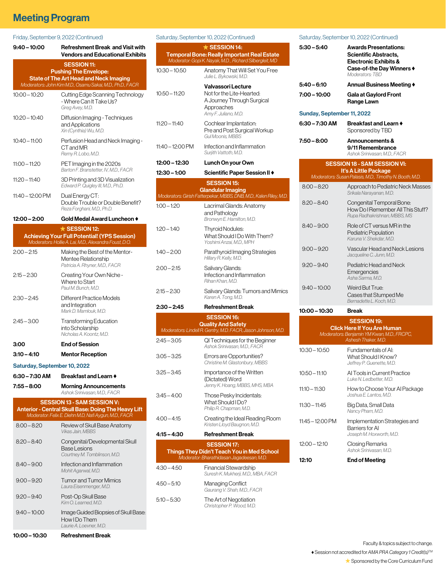## **Meeting Program**

#### Friday, September 9, 2022 (Continued)

| 9:40 – 10:00                 | <b>Refreshment Break and Visit with</b><br><b>Vendors and Educational Exhibits</b>                                                                 |
|------------------------------|----------------------------------------------------------------------------------------------------------------------------------------------------|
|                              | <b>SESSION 11:</b>                                                                                                                                 |
|                              | <b>Pushing The Envelope:</b><br><b>State of The Art Head and Neck Imaging</b>                                                                      |
|                              | Moderators: John Kim M.D., Osamu Sakai, M.D., Ph.D., FACR                                                                                          |
| $10:00 - 10:20$              | Cutting Edge Scanning Technology<br>- Where Can It Take Us?<br>Greg Avey, M.D.                                                                     |
| $10:20 - 10:40$              | Diffusion Imaging - Techniques<br>and Applications<br>Xin (Cynthia) Wu, M.D.                                                                       |
| $10:40 - 11:00$              | Perfusion Head and Neck Imaging -<br>CT and MR<br>Remy R. Lobo, M.D.                                                                               |
| 11:00 - 11:20                | PET Imaging in the 2020s<br>Barton F. Branstetter, IV, M.D., FACR                                                                                  |
| $11:20 - 11:40$              | 3D Printing and 3D Visualization<br>Edward P. Quigley III, M.D., Ph.D.                                                                             |
| 11:40 - 12:00 PM             | Dual Energy CT:<br>Double Trouble or Double Benefit?<br>Reza Forghani, M.D., Ph.D.                                                                 |
| 12:00 - 2:00                 | Gold Medal Award Luncheon $\blacklozenge$                                                                                                          |
|                              | $\star$ SESSION 12:                                                                                                                                |
|                              | <b>Achieving Your Full Potential! (YPS Session)</b><br>Moderators: Hollie A. Lai, M.D., Alexandra Foust, D.O.                                      |
| $2:00 - 2:15$                | Making the Best of the Mentor-<br>Mentee Relationship<br>Patricia A. Rhyner, M.D., FACR                                                            |
| $2:15 - 2:30$                | Creating Your Own Niche -<br>Where to Start<br>Paul M. Bunch, M.D.                                                                                 |
| $2:30 - 2:45$                | Different Practice Models<br>and Integration<br>Mark D. Mamlouk, M.D.                                                                              |
| $2:45 - 3:00$                | <b>Transforming Education</b><br>into Scholarship<br>Nicholas A. Koontz, M.D.                                                                      |
| 3:00                         | <b>End of Session</b>                                                                                                                              |
| $3:10 - 4:10$                | <b>Mentor Reception</b>                                                                                                                            |
| Saturday, September 10, 2022 |                                                                                                                                                    |
| 6:30 – 7:30 AM               | Breakfast and Learn ♦                                                                                                                              |
| 7:55 - 8:00                  | <b>Morning Announcements</b>                                                                                                                       |
|                              | Ashok Srinivasan, M.D., FACR                                                                                                                       |
|                              | <b>SESSION 13 - SAM SESSION V:</b><br>Anterior - Central Skull Base: Doing The Heavy Lift<br>Moderator: Felix E. Diehn M.D, Nafi Aygun, M.D., FACR |
| $8:00 - 8:20$                | Review of Skull Base Anatomy<br>Vikas Jain, MBBS                                                                                                   |
| $8:20 - 8:40$                | Congenital/Developmental Skull<br>Base Lesions<br>Courtney M. Tomblinson, M.D.                                                                     |
| $8:40 - 9:00$                | Infection and Inflammation<br>Mohit Agarwal, M.D.                                                                                                  |
| 9:00 – 9:20                  | <b>Tumor and Tumor Mimics</b><br>Laura Eisenmenger, M.D.                                                                                           |
| 9:20 – 9:40                  | Post-Op Skull Base<br>Kim O. Learned, M.D.                                                                                                         |
| 9:40 – 10:00                 | Image Guided Biopsies of Skull Base:<br>How I Do Them<br>Laurie A. Loevner, M.D.                                                                   |
| 10:00 - 10:30                | <b>Refreshment Break</b>                                                                                                                           |

| Saturday, September 10, 2022 (Continued)                                                                                             |                                                                                                                     |  |  |  |  |
|--------------------------------------------------------------------------------------------------------------------------------------|---------------------------------------------------------------------------------------------------------------------|--|--|--|--|
| $\star$ SESSION 14:<br><b>Temporal Bone: Really Important Real Estate</b><br>Moderator: Gopi K. Nayak, M.D., Richard Silbergleit, MD |                                                                                                                     |  |  |  |  |
| $10:30 - 10:50$                                                                                                                      | Anatomy That Will Set You Free<br>Julie L. Bykowski, M.D.                                                           |  |  |  |  |
| $10:50 - 11:20$                                                                                                                      | Valvassori Lecture<br>Not for the Lite-Hearted:<br>A Journey Through Surgical<br>Approaches<br>Amy F. Juliano, M.D. |  |  |  |  |
| $11:20 - 11:40$                                                                                                                      | Cochlear Implantation:<br>Pre and Post Surgical Workup<br><b>Gul Moonis, MBBS</b>                                   |  |  |  |  |
| $11:40 - 12:00 \text{ PM}$                                                                                                           | Infection and Inflammation<br>Surjith Vattoth, M.D.                                                                 |  |  |  |  |
| 12:00 - 12:30                                                                                                                        | Lunch On your Own                                                                                                   |  |  |  |  |
| $12:30 - 1:00$                                                                                                                       | Scientific Paper Session II ♦                                                                                       |  |  |  |  |
|                                                                                                                                      | <b>SESSION 15:</b>                                                                                                  |  |  |  |  |
|                                                                                                                                      | Glandular Imaging<br>Moderators: Girish Fatterpekar, MBBS, DNB, M.D., Kalen Riley, M.D.                             |  |  |  |  |
| $1:00 - 1:20$                                                                                                                        | Lacrimal Glands: Anatomy<br>and Pathology<br>Bronwyn E. Hamilton, M.D.                                              |  |  |  |  |
| $1:20 - 1:40$                                                                                                                        | <b>Thyroid Nodules:</b><br>What Should I Do With Them?<br>Yoshimi Anzai, M.D., MPH                                  |  |  |  |  |
| $1:40 - 2:00$                                                                                                                        | Parathyroid Imaging Strategies<br>Hillary R. Kelly, M.D.                                                            |  |  |  |  |
| $2:00 - 2:15$                                                                                                                        | Salivary Glands:<br>Infection and Inflammation<br>Rihan Khan, M.D.                                                  |  |  |  |  |
| $2:15 - 2:30$                                                                                                                        | Salivary Glands: Tumors and Mimics<br>Karen A. Tong, M.D.                                                           |  |  |  |  |
| $2:30 - 2:45$                                                                                                                        | <b>Refreshment Break</b>                                                                                            |  |  |  |  |
|                                                                                                                                      | <b>SESSION 16:</b>                                                                                                  |  |  |  |  |
|                                                                                                                                      | <b>Quality And Safety</b><br>Moderators: Lindell R. Gentry, M.D. FACR, Jason Johnson, M.D.                          |  |  |  |  |
| $2:45 - 3:05$                                                                                                                        | QI Techniques for the Beginner<br>Ashok Sriniyasan, M.D., FACR                                                      |  |  |  |  |
| $3:05 - 3:25$                                                                                                                        | Errors are Opportunities?<br>Christine M. Glastonbury, MBBS                                                         |  |  |  |  |
| $3:25 - 3:45$                                                                                                                        | Importance of the Written<br>(Dictated) Word<br>Jenny K. Hoang, MBBS, MHS, MBA                                      |  |  |  |  |
| $3:45 - 4:00$                                                                                                                        | Those Pesky Incidentals:<br>What Should I Do?<br>Philip R. Chapman, M.D.                                            |  |  |  |  |
| $4:00 - 4:15$                                                                                                                        | Creating the Ideal Reading Room<br>Kristen Lloyd Baugnon, M.D.                                                      |  |  |  |  |
| $4:15 - 4:30$                                                                                                                        | <b>Refreshment Break</b>                                                                                            |  |  |  |  |
| <b>SESSION 17:</b><br>Things They Didn't Teach You in Med School<br>Moderator: Bharathidasan Jagadeesan, M.D.                        |                                                                                                                     |  |  |  |  |
| $4:30 - 4:50$                                                                                                                        | <b>Financial Stewardship</b><br>Suresh K. Mukherji, M.D., MBA, FACR                                                 |  |  |  |  |
| $4:50 - 5:10$                                                                                                                        | Managing Conflict<br>Gaurang V. Shah, M.D., FACR                                                                    |  |  |  |  |
| $5:10 - 5:30$                                                                                                                        | The Art of Negotiation<br>Christopher P. Wood, M.D.                                                                 |  |  |  |  |

#### Saturday, September 10, 2022 (Continued) 5:30 – 5:40 Awards Presentations: Scientific Abstracts, Electronic Exhibits & Case-of-the Day Winners ♦ *Moderators: TBD* 5:40 – 6:10 Annual Business Meeting ♦ 7:00 – 10:00 Gala at Gaylord Front Range Lawn Sunday, September 11, 2022 6:30 – 7:30 AM Breakfast and Learn ♦ Sponsored by TBD 7:50 – 8:00 Announcements & 9/11 Remembrance  *Ashok Srinivasan, M.D., FACR* SESSION 18 - SAM SESSION VI: It's A Little Package *Moderators: Susan Palasis, M.D., Timothy N. Booth, M.D.* 8:00 – 8:20 Approach to Pediatric Neck Masses  *Srikala Narayanan, M.D.* 8:20 – 8:40 Congenital Temporal Bone: How Do I Remember All This Stuff?  *Rupa Radhakrishnan, MBBS, MS* 8:40 – 9:00 Role of CT versus MR in the Pediatric Population  *Karuna V. Shekdar, M.D.* 9:00 – 9:20 Vascular Head and Neck Lesions  *Jacqueline C. Junn, M.D.* 9:20 – 9:40 Pediatric Head and Neck **Emergencies**  *Asha Sarma, M.D.* 9:40 – 10:00 Weird But True: Cases that Stumped Me  *Bernadette L. Koch, M.D.* 10:00 – 10:30 Break SESSION 19: Click Here If You Are Human *Moderators: Benjamin YM Kwan, M.D., FRCPC, Ashesh Thaker, M.D.* 10:30 – 10:50 Fundamentals of AI: What Should I Know?  *Jeffrey P. Guenette, M.D.* 10:50 – 11:10 AI Tools in Current Practice

 *Luke N. Ledbetter, M.D.* 11:10 – 11:30 How to Choose Your AI Package  *Joshua E. Lantos, M.D.* 11:30 – 11:45 Big Data, Small Data  *Nancy Pham, M.D.* 11:45 – 12:00 PM Implementation Strategies and Barriers for AI  *Joseph M. Hoxworth, M.D.* 12:00 – 12:10 Closing Remarks  *Ashok Srinivasan, M.D.* 12:10 End of Meeting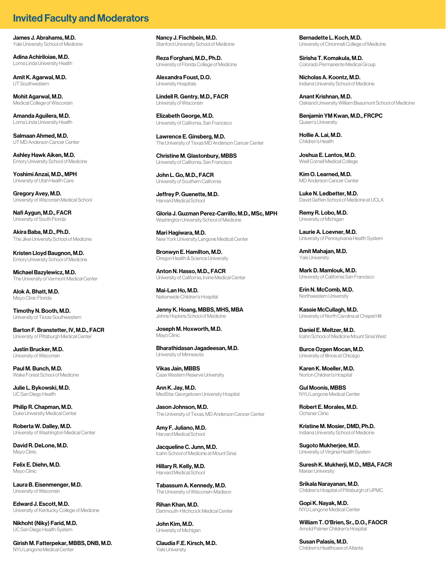## Invited Faculty and Moderators

James J. Abrahams, M.D. Yale University School of Medicine

Adina Achiriloiae, M.D. Loma Linda University Health

Amit K. Agarwal, M.D. UT Southwestern

Mohit Agarwal, M.D. Medical College of Wisconsin

Amanda Aguilera, M.D. Loma Linda University Health

Salmaan Ahmed, M.D. UT MD Anderson Cancer Center

Ashley Hawk Aiken, M.D. Emory University School of Medicine

Yoshimi Anzai, M.D., MPH University of Utah Health Care

Gregory Avey, M.D. University of Wisconsin Medical School

Nafi Aygun, M.D., FACR University of South Florida

Akira Baba, M.D., Ph.D. The Jikei University School of Medicine

Kristen Lloyd Baugnon, M.D. Emory University School of Medicine

Michael Bazylewicz, M.D. The University of Vermont Medical Center

Alok A. Bhatt, M.D. Mayo Clinic Florida

Timothy N. Booth, M.D. University of Texas Southwestern

Barton F. Branstetter, IV, M.D., FACR University of Pittsburgh Medical Center

Justin Brucker, M.D. University of Wisconsin

Paul M. Bunch, M.D. Wake Forest School of Medicine

Julie L. Bykowski, M.D. UC San Diego Health

Philip R. Chapman, M.D. Duke University Medical Center

Roberta W. Dalley, M.D. University of Washington Medical Center

David R. DeLone, M.D. Mayo Clinic

Felix E. Diehn, M.D. Mayo Clinic

Laura B. Eisenmenger, M.D. University of Wisconsin

Edward J. Escott, M.D. University of Kentucky College of Medicine

Nikhoht (Niky) Farid, M.D. UC San Diego Health System

Girish M. Fatterpekar, MBBS, DNB, M.D. NYU Langone Medical Center

Nancy J. Fischbein, M.D. Stanford University School of Medicine

Reza Forghani, M.D., Ph.D. University of Florida College of Medicine

Alexandra Foust, D.O. University Hospitals

Lindell R. Gentry, M.D., FACR University of Wisconsin

Elizabeth George, M.D. University of California, San Francisco

Lawrence E. Ginsberg, M.D. The University of Texas MD Anderson Cancer Center

Christine M. Glastonbury, MBBS University of California, San Francisco

John L. Go, M.D., FACR University of Southern California

Jeffrey P. Guenette, M.D. Harvard Medical School

Gloria J. Guzman Perez-Carrillo, M.D., MSc, MPH Washington University School of Medicine

Mari Hagiwara, M.D. New York University Langone Medical Center

Bronwyn E. Hamilton, M.D. Oregon Health & Science University

Anton N. Hasso, M.D., FACR University of California, Irvine Medical Center

Mai-Lan Ho, M.D. Nationwide Children's Hospital

Jenny K. Hoang, MBBS, MHS, MBA Johns Hopkins School of Medicine

Joseph M. Hoxworth, M.D. Mayo Clinic

Bharathidasan Jagadeesan, M.D. University of Minnesota

Vikas Jain, MBBS Case Western Reserve University

Ann K. Jay, M.D. MedStar Georgetown University Hospital

Jason Johnson, M.D. The University of Texas, MD Anderson Cancer Center

Amy F. Juliano, M.D. Harvard Medical School

Jacqueline C. Junn, M.D. Icahn School of Medicine at Mount Sinai

Hillary R. Kelly, M.D. Harvard Medical School

Tabassum A. Kennedy, M.D. The University of Wisconsin-Madison

Rihan Khan, M.D. Dartmouth-Hitchcock Medical Center

John Kim, M.D. University of Michigan

Claudia F.E. Kirsch, M.D. Yale University

Bernadette L. Koch, M.D. University of Cincinnati College of Medicine

Sirisha T. Komakula, M.D. Colorado Permanente Medical Group

Nicholas A. Koontz, M.D. Indiana University School of Medicine

Anant Krishnan, M.D. Oakland University William Beaumont School of Medicine

Benjamin YM Kwan, M.D., FRCPC Queen's University

Hollie A. Lai, M.D. Children's Health

Joshua E. Lantos, M.D. Weill Cornell Medical College

Kim O. Learned, M.D. MD Anderson Cancer Center

Luke N. Ledbetter, M.D. David Geffen School of Medicine at UCLA

Remy R. Lobo, M.D. University of Michigan

Laurie A. Loevner, M.D. University of Pennsylvania Health System

Amit Mahajan, M.D. Yale University

Mark D. Mamlouk, M.D. University of California San Francisco

Erin N. McComb, M.D. Northwestern University

Kassie McCullagh, M.D. University of North Carolina at Chapel Hill

Daniel E. Meltzer, M.D. Icahn School of Medicine Mount Sinai West

Burce Ozgen Mocan, M.D. University of Illinois at Chicago

Karen K. Moeller, M.D. Norton Children's Hospital

Gul Moonis, MBBS NYU Langone Medical Center

Robert E. Morales, M.D. Ochsner Clinic

Kristine M. Mosier, DMD, Ph.D. Indiana University School of Medicine

Sugoto Mukherjee, M.D. University of Virginia Health System

Suresh K. Mukherji, M.D., MBA, FACR Marian University

Srikala Narayanan, M.D. Children's Hospital of Pittsburgh of UPMC

Gopi K. Nayak, M.D. NYU Langone Medical Center

William T. O'Brien, Sr., D.O., FAOCR Arnold Palmer Children's Hospital

Susan Palasis, M.D. Children's Healthcare of Atlanta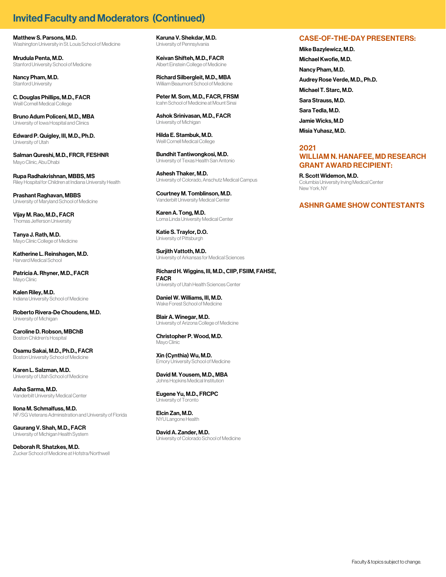## **Invited Faculty and Moderators (Continued)**

Matthew S. Parsons, M.D. Washington University in St. Louis School of Medicine

Mrudula Penta, M.D. Stanford University School of Medicine

Nancy Pham, M.D. Stanford University

C. Douglas Phillips, M.D., FACR Weill Cornell Medical College

Bruno Adum Policeni, M.D., MBA University of Iowa Hospital and Clinics

Edward P. Quigley, III, M.D., Ph.D. University of Utah

Salman Qureshi, M.D., FRCR, FESHNR Mayo Clinic, Abu Dhabi

Rupa Radhakrishnan, MBBS, MS Riley Hospital for Children at Indiana University Health

Prashant Raghavan, MBBS University of Maryland School of Medicine

Vijay M. Rao, M.D., FACR Thomas Jefferson University

Tanya J. Rath, M.D. Mayo Clinic College of Medicine

Katherine L. Reinshagen, M.D. Harvard Medical School

Patricia A. Rhyner, M.D., FACR Mayo Clinic

Kalen Riley, M.D. Indiana University School of Medicine

Roberto Rivera-De Choudens, M.D. University of Michigan

Caroline D. Robson, MBChB Boston Children's Hospital

Osamu Sakai, M.D., Ph.D., FACR Boston University School of Medicine

Karen L. Salzman, M.D. University of Utah School of Medicine

Asha Sarma, M.D. Vanderbilt University Medical Center

Ilona M. Schmalfuss, M.D. NF/SG Veterans Administration and University of Florida

Gaurang V. Shah, M.D., FACR University of Michigan Health System

Deborah R. Shatzkes, M.D. Zucker School of Medicine at Hofstra/Northwell Karuna V. Shekdar, M.D. University of Pennsylvania

Keivan Shifteh, M.D., FACR Albert Einstein College of Medicine

Richard Silbergleit, M.D., MBA William Beaumont School of Medicine

Peter M. Som, M.D., FACR, FRSM Icahn School of Medicine at Mount Sinai

Ashok Srinivasan, M.D., FACR University of Michigan

Hilda E. Stambuk, M.D. Weill Cornell Medical College

Bundhit Tantiwongkosi, M.D. University of Texas Health San Antonio

Ashesh Thaker, M.D. University of Colorado, Anschutz Medical Campus

Courtney M. Tomblinson, M.D. Vanderbilt University Medical Center

Karen A. Tong, M.D. Loma Linda University Medical Center

Katie S. Traylor, D.O. University of Pittsburgh

Surjith Vattoth, M.D. University of Arkansas for Medical Sciences

Richard H. Wiggins, III, M.D., CIIP, FSIIM, FAHSE, FACR University of Utah Health Sciences Center

Daniel W. Williams, III, M.D. Wake Forest School of Medicine

Blair A. Winegar, M.D. University of Arizona College of Medicine

Christopher P. Wood, M.D. Mayo Clinic

Xin (Cynthia) Wu, M.D. Emory University School of Medicine

David M. Yousem, M.D., MBA Johns Hopkins Medical Institution

Eugene Yu, M.D., FRCPC University of Toronto

Elcin Zan, M.D. NYU Langone Health

David A. Zander, M.D. University of Colorado School of Medicine

#### CASE-OF-THE-DAY PRESENTERS:

Mike Bazylewicz, M.D. Michael Kwofie, M.D. Nancy Pham, M.D. Audrey Rose Verde, M.D., Ph.D. Michael T. Starc, M.D. Sara Strauss, M.D. Sara Tedla, M.D. Jamie Wicks, M.D Misia Yuhasz, M.D.

#### 2021

#### WILLIAM N. HANAFEE, MD RESEARCH GRANT AWARD RECIPIENT:

R. Scott Widemon, M.D. Columbia University Irving Medical Center New York, NY

#### ASHNR GAME SHOW CONTESTANTS